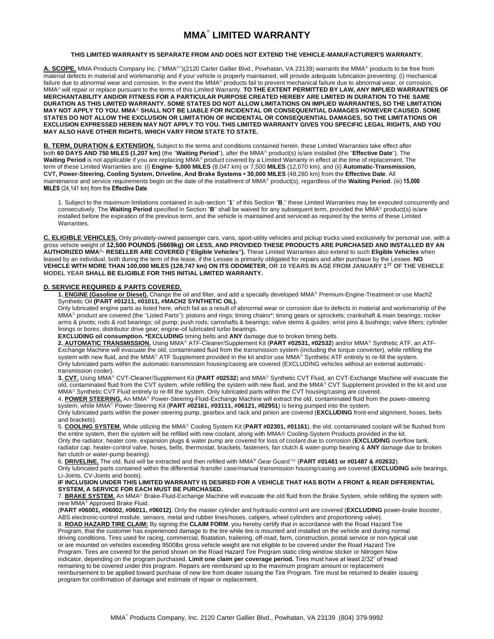# **MMA® LIMITED WARRANTY**

## **THIS LIMITED WARRANTY IS SEPARATE FROM AND DOES NOT EXTEND THE VEHICLE-MANUFACTURER'S WARRANTY.**

**A. SCOPE.** MMA Products Company Inc. ("MMA®")(2120 Carter Gallier Blvd., Powhatan, VA 23139) warrants the MMA® products to be free from material defects in material and workmanship and if your vehicle is properly maintained, will provide adequate lubrication preventing: (i) mechanical failure due to abnormal wear and corrosion. In the event the MMA® products fail to prevent mechanical failure due to abnormal wear, or corrosion, MMA® will repair or replace pursuant to the terms of this Limited Warranty. **TO THE EXTENT PERMITTED BY LAW, ANY IMPLIED WARRANTIES OF MERCHANTABILITY AND/OR FITNESS FOR A PARTICULAR PURPOSE CREATED HEREBY ARE LIMITED IN DURATION TO THE SAME DURATION AS THIS LIMITED WARRANTY. SOME STATES DO NOT ALLOW LIMITATIONS ON IMPLIED WARRANTIES, SO THE LIMITATION MAY NOT APPLY TO YOU. MMA® SHALL NOT BE LIABLE FOR INCIDENTAL OR CONSEQUENTIAL DAMAGES HOWEVER CAUSED. SOME STATES DO NOT ALLOW THE EXCLUSION OR LIMITATION OF INCIDENTAL OR CONSEQUENTIAL DAMAGES, SO THE LIMITATIONS OR EXCLUSION EXPRESSED HEREIN MAY NOT APPLY TO YOU. THIS LIMITED WARRANTY GIVES YOU SPECIFIC LEGAL RIGHTS, AND YOU MAY ALSO HAVE OTHER RIGHTS, WHICH VARY FROM STATE TO STATE.**

**B. TERM, DURATION & EXTENSION.** Subject to the terms and conditions contained herein, these Limited Warranties take effect after both **60 DAYS AND 750 MILES (1,207 km)** (the "**Waiting Period**"), after the MMA® product(s) is/are installed (the "**Effective Date**"). The **Waiting Period** is not applicable if you are replacing MMA® product covered by a Limited Warranty in effect at the time of replacement. The term of these Limited Warranties are: (i) **Engine· 5,000 MILES** (8,047 km) or 7,500 **MILES** (12,070 km), and (ii) **Automatic-Transmission, CVT, Power-Steering, Cooling System, Driveline, And Brake Systems • 30,000 MILES** (48,280 km) from the **Effective Date**. All maintenance and service requirements begin on the date of the installment of MMA® product(s), regardless of the **Waiting Period**. (iii) **15,000 MILES** (24,141 km) from the **Effective Date**.

1. Subject to the maximum limitations contained in sub-section "**1**" of this Section "**B**," these Limited Warranties may be executed concurrently and consecutively. The **Waiting Period** specified in Section "**B**" shall be waived for any subsequent term, provided the MMA® product(s) is/are installed before the expiration of the previous term, and the vehicle is maintained and serviced as required by the terms of these Limited Warranties.

**C. ELIGIBLE VEHICLES.** Only privately-owned passenger cars, vans, sport-utility vehicles and pickup trucks used exclusively for personal use, with a gross vehicle weight of **12,500 POUNDS (5669kg) OR LESS, AND PROVIDED THESE PRODUCTS ARE PURCHASED AND INSTALLED BY AN AUTHORIZED MMA®· RESELLER ARE COVERED ("Eligible Vehicles").** These Limited Warranties also extend to such **Eligible Vehicles** when leased by an individual, both during the term of the lease, if the Lessee is primarily obligated for repairs and after purchase by the Lessee. **NO VEHICLE WITH MORE THAN 100,000 MILES (128,747 km) ON ITS ODOMETER, OR 10 YEARS IN AGE FROM JANUARY 1ST OF THE VEHICLE MODEL YEAR SHALL BE ELIGIBLE FOR THIS INITIAL LIMITED WARRANTY.**

# **D. SERVICE REQUIRED & PARTS COVERED.**

**1. ENGINE (Gasoline or Diesel).** Change the oil and filter, and add a specially developed MMA® Premium-Engine-Treatment or use Mach2 Synthetic Oil **(PART #01211, #01011, #MACH2 SYNTHETIC OIL).**

Only lubricated engine parts as listed here, which fail as a result of abnormal wear or corrosion due to defects in material and workmanship of the MMA<sup>®</sup> product are covered (the "Listed Parts"): pistons and rings; timing chains\*; timing gears or sprockets; crankshaft & main bearings; rocker arms & pivots; rods & rod bearings; oil pump; push rods; camshafts & bearings; valve stems & guides; wrist pins & bushings; valve lifters; cylinder linings or bores; distributor drive gear; engine-oil lubricated turbo bearings.

**EXCLUDING oil consumption. \*EXCLUDING** timing belts and **ANY** damage due to broken timing belts.

**2. AUTOMATIC TRANSMISSION.** Using MMA® ATF-Cleaner/Supplement Kit (**PART #02531, #02532**) and/or MMA® Synthetic ATF, an ATF-Exchange Machine will evacuate the old, contaminated fluid from the transmission system (including the torque converter), while refilling the system with new fluid, and the MMA® ATF Supplement provided in the kit and/or use MMA® Synthetic ATF entirely to re-fill the system. Only lubricated parts within the automatic-transmission housing/casing are covered (EXCLUDING vehicles without an external automatictransmission cooler).

**3. CVT.** Using MMA® CVT-Cleaner/Supplement Kit (**PART #02532**) and MMA® Synthetic CVT Fluid, an CVT-Exchange Machine will evacuate the old, contaminated fluid from the CVT system, while refilling the system with new fluid, and the MMA® CVT Supplement provided in the kit and use MMA® Synthetic CVT Fluid entirely to re-fill the system. Only lubricated parts within the CVT housing/casing are covered.

4. **POWER STEERING.** An MMA® Power-Steering-Fluid-Exchange Machine will extract the old, contaminated fluid from the power-steering system, while MMA® Power-Steering Kit (**PART #02161, #03111, #06121, #02951**) is being pumped into the system.

Only lubricated parts within the power-steering pump, gearbox and rack and pinion are covered (**EXCLUDING** front-end alignment, hoses, belts and brackets).

5. **COOLING SYSTEM.** While utilizing the MMA® Cooling System Kit (**PART #02301, #01161**), the old, contaminated coolant will be flushed from the entire system, then the system will be refilled with new coolant, along with MMA® Cooling-System Products provided in the kit.

Only the radiator, heater core, expansion plugs & water pump are covered for loss of coolant due to corrosion (**EXCLUDING** overflow tank, radiator cap, heater-control valve, hoses, belts, thermostat, brackets, fasteners, fan clutch & water-pump bearing & **ANY** damage due to broken fan clutch or water-pump bearing).

6. **DRIVELINE.** The old, fluid will be extracted and then refilled with MMA® Gear Guard™ (**PART #01481 or #01487 & #02632**).

Only lubricated parts contained within the differential /transfer case/manual transmission housing/casing are covered (**EXCLUDING** axle bearings, Li-Joints, CV-Joints and boots).

# **IF INCLUSION UNDER THIS LIMITED WARRANTY IS DESIRED FOR A VEHICLE THAT HAS BOTH A FRONT & REAR DIFFERENTIAL SYSTEM, A SERVICE FOR EACH MUST BE PURCHASED.**

7. **BRAKE SYSTEM.** An MMA® Brake-Fluid-Exchange Machine will evacuate the old fluid from the Brake System, while refilling the system with new MMA® Approved Brake Fluid.

(**PART #06001, #06002, #06011, #06012)**. Only the master cylinder and hydraulic-control unit are covered (**EXCLUDING** power-brake booster, ABS electronic-control module, sensors, metal and rubber lines/hoses, calipers, wheel cylinders and proportioning valve).

8. **ROAD HAZARD TIRE CLAIM:** By signing the **CLAIM FORM**, you hereby certify that in accordance with the Road Hazard Tire Program, that the customer has experienced damage to the tire while tire is mounted and installed on the vehicle and during normal driving conditions. Tires used for racing, commercial, floatation, trailering, off-road, farm, construction, postal service or non-typical use or are mounted on vehicles exceeding 9500lbs gross vehicle weight are not eligible to be covered under the Road Hazard Tire Program. Tires are covered for the period shown on the Road Hazard Tire Program static cling window sticker or Nitrogen Now indicator, depending on the program purchased. **Limit one claim per coverage period.** Tires must have at least 2/32" of tread remaining to be covered under this program. Repairs are reimbursed up to the maximum program amount or replacement reimbursement to be applied toward purchase of new tire from dealer issuing the Tire Program. Tire must be returned to dealer issuing program for confirmation of damage and estimate of repair or replacement.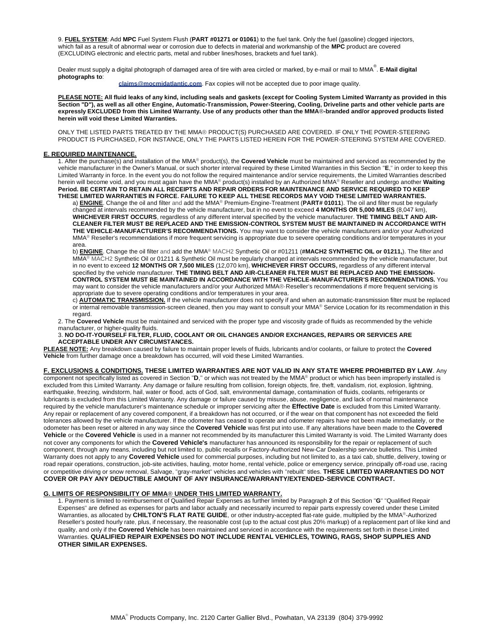9. **FUEL SYSTEM**: Add **MPC** Fuel System Flush (**PART #01271 or 01061**) to the fuel tank. Only the fuel (gasoline) clogged injectors, which fail as a result of abnormal wear or corrosion due to defects in material and workmanship of the **MPC** product are covered (EXCLUDING electronic and electric parts, metal and rubber lines/hoses, brackets and fuel tank).

Dealer must supply a digital photograph of damaged area of tire with area circled or marked, by e-mail or mail to MMA ® . **E-Mail digital photographs to**:

**claims@mocmidatlantic.com**. Fax copies will not be accepted due to poor image quality.

**PLEASE NOTE: All fluid leaks of any kind, including seals and gaskets (except for Cooling System Limited Warranty as provided in this Section "D"), as well as all other Engine, Automatic-Transmission, Power-Steering, Cooling, Driveline parts and other vehicle parts are expressly EXCLUDED from this Limited Warranty. Use of any products other than the MMA®-branded and/or approved products listed herein will void these Limited Warranties.**

ONLY THE LISTED PARTS TREATED BY THE MMA® PRODUCT(S) PURCHASED ARE COVERED. IF ONLY THE POWER-STEERING PRODUCT IS PURCHASED, FOR INSTANCE, ONLY THE PARTS LISTED HEREIN FOR THE POWER-STEERING SYSTEM ARE COVERED.

## **E. REQUIRED MAINTENANCE.**

1. After the purchase(s) and installation of the MMA® product(s), the **Covered Vehicle** must be maintained and serviced as recommended by the vehicle manufacturer in the Owner's Manual, or such shorter interval required by these Limited Warranties in this Section "**E**," in order to keep this Limited Warranty in force. In the event you do not follow the required maintenance and/or service requirements, the Limited Warranties described herein will become void, and you must again have the MMA® product(s) installed by an Authorized MMA® Reseller and undergo another **Waiting Period. BE CERTAIN TO RETAIN ALL RECEIPTS AND REPAIR ORDERS FOR MAINTENANCE AND SERVICE REQUIRED TO KEEP THESE LIMITED WARRANTIES IN FORCE. FAILURE TO KEEP ALL THESE RECORDS MAY VOID THESE LIMITED WARRANTIES.**

a) **ENGINE**. Change the oil and filter and add the MMA® Premium-Engine-Treatment (**PART# 01011**). The oil and filter must be regularly changed at intervals recommended by the vehicle manufacturer, but in no event to exceed **4 MONTHS OR 5,000 MILES** (8,047 km), **WHICHEVER FIRST OCCURS**, regardless of any different interval specified by the vehicle manufacturer. **THE TIMING BELT AND AIR-CLEANER FILTER MUST BE REPLACED AND THE EMISSION-CONTROL SYSTEM MUST BE MAINTAINED IN ACCORDANCE WITH THE VEHICLE-MANUFACTURER'S RECOMMENDATIONS.** You may want to consider the vehicle manufacturers and/or your Authorized MMA<sup>®</sup> Reseller's recommendations if more frequent servicing is appropriate due to severe operating conditions and/or temperatures in your area.

b) **ENGINE**. Change the oil filter and add the MMA® MACH2 Synthetic Oil or #01211 (**#MACH2 SYNTHETIC OIL or 01211,**). The filter and MMA<sup>®</sup> MACH2 Synthetic Oil or 01211 & Synthetic Oil must be regularly changed at intervals recommended by the vehicle manufacturer, but in no event to exceed **12 MONTHS OR 7,500 MILES** (12,070 km), **WHICHEVER FIRST OCCURS,** regardless of any different interval specified by the vehicle manufacturer. **THE TIMING BELT AND AIR-CLEANER FILTER MUST BE REPLACED AND THE EMISSION-CONTROL SYSTEM MUST BE MAINTAINED IN ACCORDANCE WITH THE VEHICLE-MANUFACTURER'S RECOMMENDATIONS.** You may want to consider the vehicle manufacturers and/or your Authorized MMA®·Reseller's recommendations if more frequent servicing is appropriate due to severe operating conditions and/or temperatures in your area.

c) **AUTOMATIC TRANSMISSION.** If the vehicle manufacturer does not specify if and when an automatic-transmission filter must be replaced or internal removable transmission-screen cleaned, then you may want to consult your MMA® Service Location for its recommendation in this regard.

2. The **Covered Vehicle** must be maintained and serviced with the proper type and viscosity grade of fluids as recommended by the vehicle manufacturer, or higher-quality fluids.

3. **NO DO-IT-YOURSELF FILTER, FLUID, COOLANT OR OIL CHANGES AND/OR EXCHANGES, REPAIRS OR SERVICES ARE ACCEPTABLE UNDER ANY CIRCUMSTANCES.**

**PLEASE NOTE:** Any breakdown caused by failure to maintain proper levels of fluids, lubricants and/or coolants, or failure to protect the **Covered Vehicle** from further damage once a breakdown has occurred, will void these Limited Warranties.

#### **F. EXCLUSIONS & CONDITIONS. THESE LIMITED WARRANTIES ARE NOT VALID IN ANY STATE WHERE PROHIBITED BY LAW**. Any

component not specifically listed as covered in Section "**D**," or which was not treated by the MMA® product or which has been improperly installed is excluded from this Limited Warranty. Any damage or failure resulting from collision, foreign objects, fire, theft, vandalism, riot, explosion, lightning, earthquake, freezing, windstorm, hail, water or flood, acts of God, salt, environmental damage, contamination of fluids, coolants, refrigerants or lubricants is excluded from this Limited Warranty. Any damage or failure caused by misuse, abuse, negligence, and lack of normal maintenance required by the vehicle manufacturer's maintenance schedule or improper servicing after the **Effective Date** is excluded from this Limited Warranty. Any repair or replacement of any covered component, if a breakdown has not occurred, or if the wear on that component has not exceeded the field tolerances allowed by the vehicle manufacturer. If the odometer has ceased to operate and odometer repairs have not been made immediately, or the odometer has been reset or altered in any way since the **Covered Vehicle** was first put into use. If any alterations have been made to the **Covered Vehicle** or the **Covered Vehicle** is used in a manner not recommended by its manufacturer this Limited Warranty is void. The Limited Warranty does not cover any components for which the **Covered Vehicle's** manufacturer has announced its responsibility for the repair or replacement of such component, through any means, including but not limited to, public recalls or Factory-Authorized New-Car Dealership service bulletins. This Limited Warranty does not apply to any **Covered Vehicle** used for commercial purposes, including but not limited to, as a taxi cab, shuttle, delivery, towing or road repair operations, construction, job-site activities, hauling, motor home, rental vehicle, police or emergency service, principally off-road use, racing or competitive driving or snow removal, Salvage, "gray-market" vehicles and vehicles with "rebuilt" titles. **THESE LIMITED WARRANTIES DO NOT COVER OR PAY ANY DEDUCTIBLE AMOUNT OF ANY INSURANCE/WARRANTY/EXTENDED-SERVICE CONTRACT.**

#### **G. LIMITS OF RESPONSIBILITY OF MMA® UNDER THIS LIMITED WARRANTY.**

1. Payment is limited to reimbursement of Qualified Repair Expenses as further limited by Paragraph **2** of this Section "**G**" "Qualified Repair Expenses" are defined as expenses for parts and labor actually and necessarily incurred to repair parts expressly covered under these Limited Warranties, as allocated by **CHILTON'S FLAT RATE GUIDE**, or other industry-accepted flat-rate guide, multiplied by the MMA®-Authorized Reseller's posted hourly rate, plus, if necessary, the reasonable cost (up to the actual cost plus 20% markup) of a replacement part of like kind and quality, and only if the **Covered Vehicle** has been maintained and serviced in accordance with the requirements set forth in these Limited Warranties. **QUALIFIED REPAIR EXPENSES DO NOT INCLUDE RENTAL VEHICLES, TOWING, RAGS, SHOP SUPPLIES AND OTHER SIMILAR EXPENSES.**